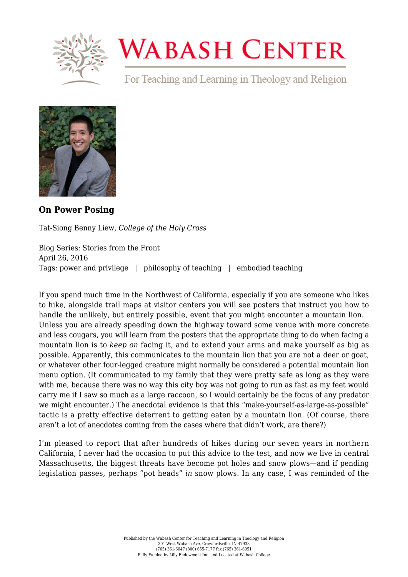

## **WABASH CENTER**

For Teaching and Learning in Theology and Religion



**[On Power Posing](https://www.wabashcenter.wabash.edu/2016/04/on-power-posing/)**

Tat-Siong Benny Liew, *College of the Holy Cross*

Blog Series: Stories from the Front April 26, 2016 Tags: power and privilege | philosophy of teaching | embodied teaching

If you spend much time in the Northwest of California, especially if you are someone who likes to hike, alongside trail maps at visitor centers you will see posters that instruct you how to handle the unlikely, but entirely possible, event that you might encounter a mountain lion. Unless you are already speeding down the highway toward some venue with more concrete and less cougars, you will learn from the posters that the appropriate thing to do when facing a mountain lion is to *keep on* facing it, and to extend your arms and make yourself as big as possible. Apparently, this communicates to the mountain lion that you are not a deer or goat, or whatever other four-legged creature might normally be considered a potential mountain lion menu option. (It communicated to my family that they were pretty safe as long as they were with me, because there was no way this city boy was not going to run as fast as my feet would carry me if I saw so much as a large raccoon, so I would certainly be the focus of any predator we might encounter.) The anecdotal evidence is that this "make-yourself-as-large-as-possible" tactic is a pretty effective deterrent to getting eaten by a mountain lion. (Of course, there aren't a lot of anecdotes coming from the cases where that didn't work, are there?)

I'm pleased to report that after hundreds of hikes during our seven years in northern California, I never had the occasion to put this advice to the test, and now we live in central Massachusetts, the biggest threats have become pot holes and snow plows—and if pending legislation passes, perhaps "pot heads" *in* snow plows. In any case, I was reminded of the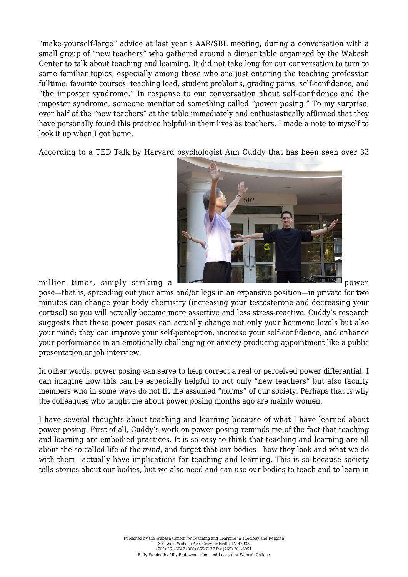"make-yourself-large" advice at last year's AAR/SBL meeting, during a conversation with a small group of "new teachers" who gathered around a dinner table organized by the Wabash Center to talk about teaching and learning. It did not take long for our conversation to turn to some familiar topics, especially among those who are just entering the teaching profession fulltime: favorite courses, teaching load, student problems, grading pains, self-confidence, and "the imposter syndrome." In response to our conversation about self-confidence and the imposter syndrome, someone mentioned something called "power posing." To my surprise, over half of the "new teachers" at the table immediately and enthusiastically affirmed that they have personally found this practice helpful in their lives as teachers. I made a note to myself to look it up when I got home.

According to a [TED Talk](https://www.ted.com/talks/amy_cuddy_your_body_language_shapes_who_you_are?language=en) by Harvard psychologist Ann Cuddy that has been seen over 33



pose—that is, spreading out your arms and/or legs in an expansive position—in private for two minutes can change your body chemistry (increasing your testosterone and decreasing your cortisol) so you will actually become more assertive and less stress-reactive. Cuddy's research suggests that these power poses can actually change not only your hormone levels but also your mind; they can improve your self-perception, increase your self-confidence, and enhance your performance in an emotionally challenging or anxiety producing appointment like a public presentation or job interview.

In other words, power posing can serve to help correct a real or perceived power differential. I can imagine how this can be especially helpful to not only "new teachers" but also faculty members who in some ways do not fit the assumed "norms" of our society. Perhaps that is why the colleagues who taught me about power posing months ago are mainly women.

I have several thoughts about teaching and learning because of what I have learned about power posing. First of all, Cuddy's work on power posing reminds me of the fact that teaching and learning are embodied practices. It is so easy to think that teaching and learning are all about the so-called life of the *mind*, and forget that our bodies—how they look and what we do with them—actually have implications for teaching and learning. This is so because society tells stories about our bodies, but we also need and can use our bodies to teach and to learn in